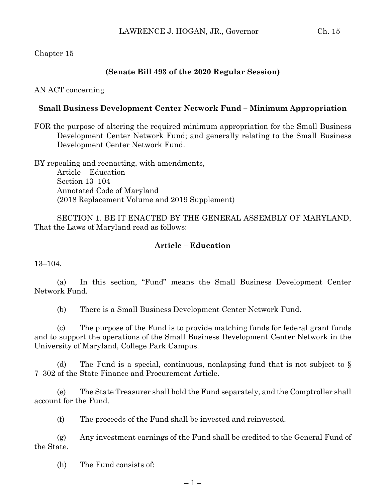## Chapter 15

## **(Senate Bill 493 of the 2020 Regular Session)**

#### AN ACT concerning

#### **Small Business Development Center Network Fund – Minimum Appropriation**

FOR the purpose of altering the required minimum appropriation for the Small Business Development Center Network Fund; and generally relating to the Small Business Development Center Network Fund.

BY repealing and reenacting, with amendments, Article – Education Section 13–104 Annotated Code of Maryland (2018 Replacement Volume and 2019 Supplement)

SECTION 1. BE IT ENACTED BY THE GENERAL ASSEMBLY OF MARYLAND, That the Laws of Maryland read as follows:

## **Article – Education**

13–104.

(a) In this section, "Fund" means the Small Business Development Center Network Fund.

(b) There is a Small Business Development Center Network Fund.

(c) The purpose of the Fund is to provide matching funds for federal grant funds and to support the operations of the Small Business Development Center Network in the University of Maryland, College Park Campus.

(d) The Fund is a special, continuous, nonlapsing fund that is not subject to  $\S$ 7–302 of the State Finance and Procurement Article.

(e) The State Treasurer shall hold the Fund separately, and the Comptroller shall account for the Fund.

(f) The proceeds of the Fund shall be invested and reinvested.

(g) Any investment earnings of the Fund shall be credited to the General Fund of the State.

(h) The Fund consists of: